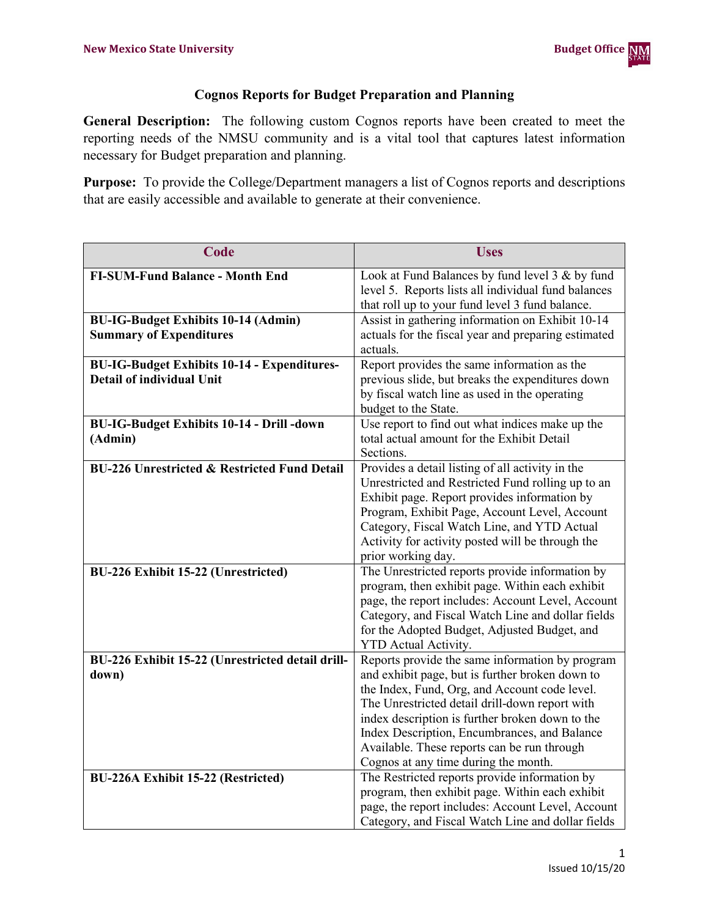## **Cognos Reports for Budget Preparation and Planning**

**General Description:** The following custom Cognos reports have been created to meet the reporting needs of the NMSU community and is a vital tool that captures latest information necessary for Budget preparation and planning.

**Purpose:** To provide the College/Department managers a list of Cognos reports and descriptions that are easily accessible and available to generate at their convenience.

| Code                                                    | <b>Uses</b>                                                                                           |
|---------------------------------------------------------|-------------------------------------------------------------------------------------------------------|
| <b>FI-SUM-Fund Balance - Month End</b>                  | Look at Fund Balances by fund level 3 & by fund                                                       |
|                                                         | level 5. Reports lists all individual fund balances                                                   |
|                                                         | that roll up to your fund level 3 fund balance.                                                       |
| <b>BU-IG-Budget Exhibits 10-14 (Admin)</b>              | Assist in gathering information on Exhibit 10-14                                                      |
| <b>Summary of Expenditures</b>                          | actuals for the fiscal year and preparing estimated                                                   |
|                                                         | actuals.                                                                                              |
| <b>BU-IG-Budget Exhibits 10-14 - Expenditures-</b>      | Report provides the same information as the                                                           |
| Detail of individual Unit                               | previous slide, but breaks the expenditures down                                                      |
|                                                         | by fiscal watch line as used in the operating                                                         |
|                                                         | budget to the State.                                                                                  |
| <b>BU-IG-Budget Exhibits 10-14 - Drill -down</b>        | Use report to find out what indices make up the                                                       |
| (Admin)                                                 | total actual amount for the Exhibit Detail                                                            |
|                                                         | Sections.                                                                                             |
| <b>BU-226 Unrestricted &amp; Restricted Fund Detail</b> | Provides a detail listing of all activity in the<br>Unrestricted and Restricted Fund rolling up to an |
|                                                         | Exhibit page. Report provides information by                                                          |
|                                                         | Program, Exhibit Page, Account Level, Account                                                         |
|                                                         | Category, Fiscal Watch Line, and YTD Actual                                                           |
|                                                         | Activity for activity posted will be through the                                                      |
|                                                         | prior working day.                                                                                    |
| <b>BU-226 Exhibit 15-22 (Unrestricted)</b>              | The Unrestricted reports provide information by                                                       |
|                                                         | program, then exhibit page. Within each exhibit                                                       |
|                                                         | page, the report includes: Account Level, Account                                                     |
|                                                         | Category, and Fiscal Watch Line and dollar fields                                                     |
|                                                         | for the Adopted Budget, Adjusted Budget, and                                                          |
|                                                         | <b>YTD</b> Actual Activity.                                                                           |
| BU-226 Exhibit 15-22 (Unrestricted detail drill-        | Reports provide the same information by program                                                       |
| down)                                                   | and exhibit page, but is further broken down to                                                       |
|                                                         | the Index, Fund, Org, and Account code level.                                                         |
|                                                         | The Unrestricted detail drill-down report with                                                        |
|                                                         | index description is further broken down to the                                                       |
|                                                         | Index Description, Encumbrances, and Balance                                                          |
|                                                         | Available. These reports can be run through                                                           |
|                                                         | Cognos at any time during the month.                                                                  |
| BU-226A Exhibit 15-22 (Restricted)                      | The Restricted reports provide information by<br>program, then exhibit page. Within each exhibit      |
|                                                         | page, the report includes: Account Level, Account                                                     |
|                                                         | Category, and Fiscal Watch Line and dollar fields                                                     |